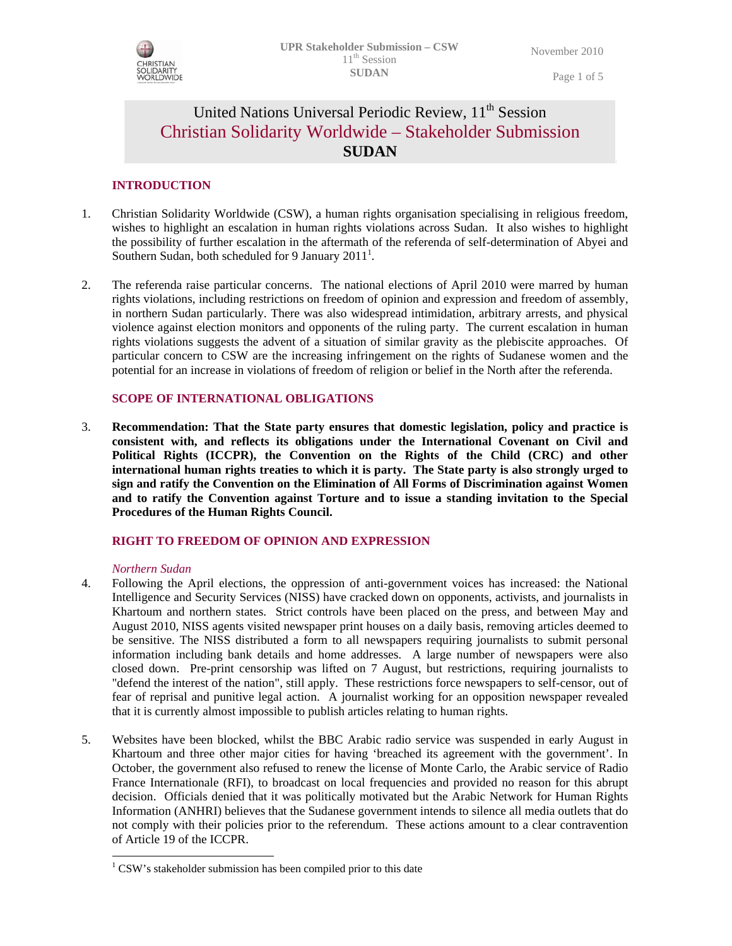

Page 1 of 5

# United Nations Universal Periodic Review, 11<sup>th</sup> Session Christian Solidarity Worldwide – Stakeholder Submission **SUDAN**

# **INTRODUCTION**

- 1. Christian Solidarity Worldwide (CSW), a human rights organisation specialising in religious freedom, wishes to highlight an escalation in human rights violations across Sudan. It also wishes to highlight the possibility of further escalation in the aftermath of the referenda of self-determination of Abyei and Southern Sudan, both scheduled for 9 January 2011<sup>1</sup>.
- 2. The referenda raise particular concerns. The national elections of April 2010 were marred by human rights violations, including restrictions on freedom of opinion and expression and freedom of assembly, in northern Sudan particularly. There was also widespread intimidation, arbitrary arrests, and physical violence against election monitors and opponents of the ruling party. The current escalation in human rights violations suggests the advent of a situation of similar gravity as the plebiscite approaches. Of particular concern to CSW are the increasing infringement on the rights of Sudanese women and the potential for an increase in violations of freedom of religion or belief in the North after the referenda.

## **SCOPE OF INTERNATIONAL OBLIGATIONS**

3. **Recommendation: That the State party ensures that domestic legislation, policy and practice is consistent with, and reflects its obligations under the International Covenant on Civil and Political Rights (ICCPR), the Convention on the Rights of the Child (CRC) and other international human rights treaties to which it is party. The State party is also strongly urged to sign and ratify the Convention on the Elimination of All Forms of Discrimination against Women and to ratify the Convention against Torture and to issue a standing invitation to the Special Procedures of the Human Rights Council.**

## **RIGHT TO FREEDOM OF OPINION AND EXPRESSION**

## *Northern Sudan*

-

- 4. Following the April elections, the oppression of anti-government voices has increased: the National Intelligence and Security Services (NISS) have cracked down on opponents, activists, and journalists in Khartoum and northern states. Strict controls have been placed on the press, and between May and August 2010, NISS agents visited newspaper print houses on a daily basis, removing articles deemed to be sensitive. The NISS distributed a form to all newspapers requiring journalists to submit personal information including bank details and home addresses. A large number of newspapers were also closed down. Pre-print censorship was lifted on 7 August, but restrictions, requiring journalists to "defend the interest of the nation", still apply. These restrictions force newspapers to self-censor, out of fear of reprisal and punitive legal action. A journalist working for an opposition newspaper revealed that it is currently almost impossible to publish articles relating to human rights.
- 5. Websites have been blocked, whilst the BBC Arabic radio service was suspended in early August in Khartoum and three other major cities for having 'breached its agreement with the government'. In October, the government also refused to renew the license of Monte Carlo, the Arabic service of Radio France Internationale (RFI), to broadcast on local frequencies and provided no reason for this abrupt decision. Officials denied that it was politically motivated but the Arabic Network for Human Rights Information (ANHRI) believes that the Sudanese government intends to silence all media outlets that do not comply with their policies prior to the referendum. These actions amount to a clear contravention of Article 19 of the ICCPR.

<sup>&</sup>lt;sup>1</sup> CSW's stakeholder submission has been compiled prior to this date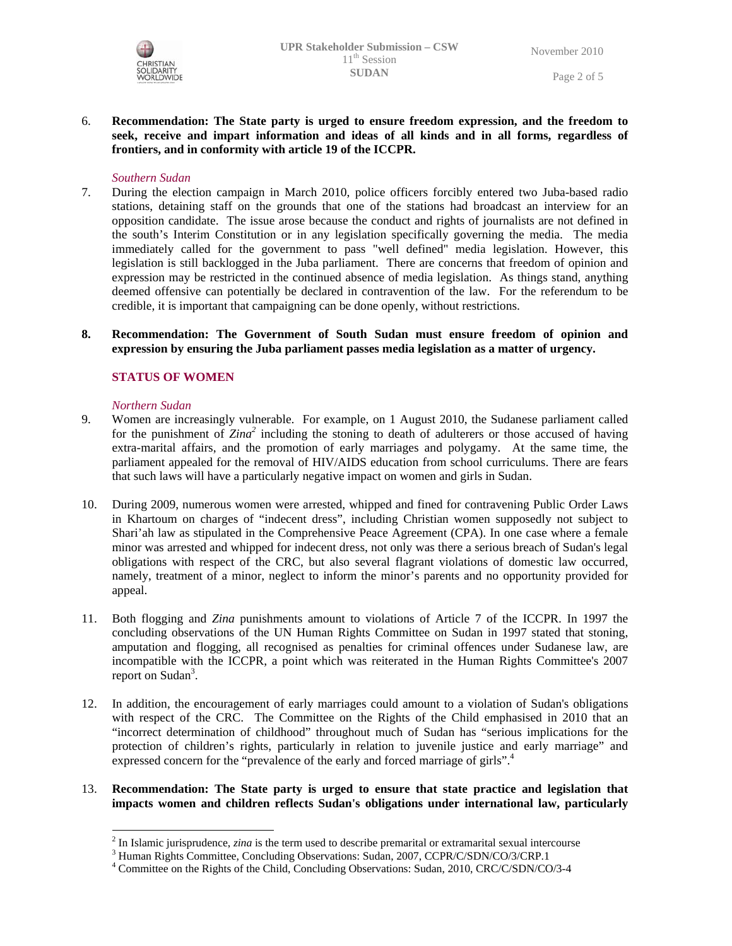

## 6. **Recommendation: The State party is urged to ensure freedom expression, and the freedom to seek, receive and impart information and ideas of all kinds and in all forms, regardless of frontiers, and in conformity with article 19 of the ICCPR.**

### *Southern Sudan*

- 7. During the election campaign in March 2010, police officers forcibly entered two Juba-based radio stations, detaining staff on the grounds that one of the stations had broadcast an interview for an opposition candidate. The issue arose because the conduct and rights of journalists are not defined in the south's Interim Constitution or in any legislation specifically governing the media. The media immediately called for the government to pass "well defined" media legislation. However, this legislation is still backlogged in the Juba parliament. There are concerns that freedom of opinion and expression may be restricted in the continued absence of media legislation. As things stand, anything deemed offensive can potentially be declared in contravention of the law. For the referendum to be credible, it is important that campaigning can be done openly, without restrictions.
- **8. Recommendation: The Government of South Sudan must ensure freedom of opinion and expression by ensuring the Juba parliament passes media legislation as a matter of urgency.**

## **STATUS OF WOMEN**

### *Northern Sudan*

-

- 9. Women are increasingly vulnerable. For example, on 1 August 2010, the Sudanese parliament called for the punishment of *Zina<sup>2</sup>* including the stoning to death of adulterers or those accused of having extra-marital affairs, and the promotion of early marriages and polygamy. At the same time, the parliament appealed for the removal of HIV/AIDS education from school curriculums. There are fears that such laws will have a particularly negative impact on women and girls in Sudan.
- 10. During 2009, numerous women were arrested, whipped and fined for contravening Public Order Laws in Khartoum on charges of "indecent dress", including Christian women supposedly not subject to Shari'ah law as stipulated in the Comprehensive Peace Agreement (CPA). In one case where a female minor was arrested and whipped for indecent dress, not only was there a serious breach of Sudan's legal obligations with respect of the CRC, but also several flagrant violations of domestic law occurred, namely, treatment of a minor, neglect to inform the minor's parents and no opportunity provided for appeal.
- 11. Both flogging and *Zina* punishments amount to violations of Article 7 of the ICCPR. In 1997 the concluding observations of the UN Human Rights Committee on Sudan in 1997 stated that stoning, amputation and flogging, all recognised as penalties for criminal offences under Sudanese law, are incompatible with the ICCPR, a point which was reiterated in the Human Rights Committee's 2007 report on Sudan<sup>3</sup>.
- 12. In addition, the encouragement of early marriages could amount to a violation of Sudan's obligations with respect of the CRC. The Committee on the Rights of the Child emphasised in 2010 that an "incorrect determination of childhood" throughout much of Sudan has "serious implications for the protection of children's rights, particularly in relation to juvenile justice and early marriage" and expressed concern for the "prevalence of the early and forced marriage of girls".<sup>4</sup>

# 13. **Recommendation: The State party is urged to ensure that state practice and legislation that impacts women and children reflects Sudan's obligations under international law, particularly**

<sup>&</sup>lt;sup>2</sup> In Islamic jurisprudence, *zina* is the term used to describe premarital or extramarital sexual intercourse  $\frac{3}{2}$  Ulyman Bights Committee, Concluding Observations, Sudan 2007, CCDB C/SDN/CO/2/CBB 1

<sup>&</sup>lt;sup>3</sup> Human Rights Committee, Concluding Observations: Sudan, 2007, CCPR/C/SDN/CO/3/CRP.1

<sup>&</sup>lt;sup>4</sup> Committee on the Rights of the Child, Concluding Observations: Sudan, 2010, CRC/C/SDN/CO/3-4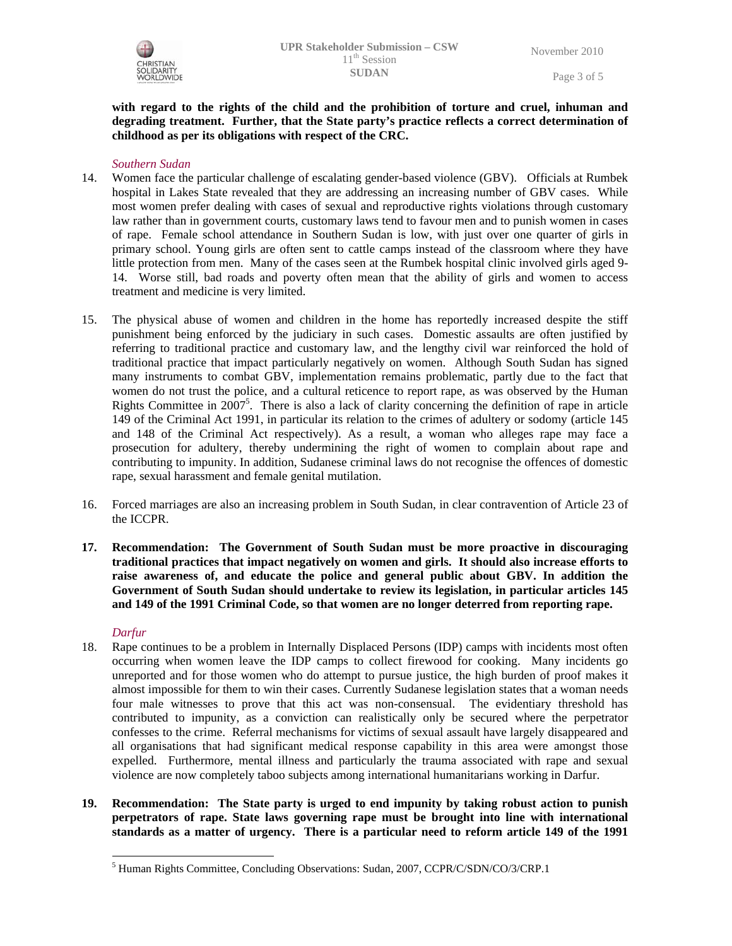

Page 3 of 5

# **with regard to the rights of the child and the prohibition of torture and cruel, inhuman and degrading treatment. Further, that the State party's practice reflects a correct determination of childhood as per its obligations with respect of the CRC.**

## *Southern Sudan*

- 14. Women face the particular challenge of escalating gender-based violence (GBV). Officials at Rumbek hospital in Lakes State revealed that they are addressing an increasing number of GBV cases. While most women prefer dealing with cases of sexual and reproductive rights violations through customary law rather than in government courts, customary laws tend to favour men and to punish women in cases of rape. Female school attendance in Southern Sudan is low, with just over one quarter of girls in primary school. Young girls are often sent to cattle camps instead of the classroom where they have little protection from men. Many of the cases seen at the Rumbek hospital clinic involved girls aged 9- 14. Worse still, bad roads and poverty often mean that the ability of girls and women to access treatment and medicine is very limited.
- 15. The physical abuse of women and children in the home has reportedly increased despite the stiff punishment being enforced by the judiciary in such cases. Domestic assaults are often justified by referring to traditional practice and customary law, and the lengthy civil war reinforced the hold of traditional practice that impact particularly negatively on women. Although South Sudan has signed many instruments to combat GBV, implementation remains problematic, partly due to the fact that women do not trust the police, and a cultural reticence to report rape, as was observed by the Human Rights Committee in  $2007^5$ . There is also a lack of clarity concerning the definition of rape in article 149 of the Criminal Act 1991, in particular its relation to the crimes of adultery or sodomy (article 145 and 148 of the Criminal Act respectively). As a result, a woman who alleges rape may face a prosecution for adultery, thereby undermining the right of women to complain about rape and contributing to impunity. In addition, Sudanese criminal laws do not recognise the offences of domestic rape, sexual harassment and female genital mutilation.
- 16. Forced marriages are also an increasing problem in South Sudan, in clear contravention of Article 23 of the ICCPR.
- **17. Recommendation: The Government of South Sudan must be more proactive in discouraging traditional practices that impact negatively on women and girls. It should also increase efforts to raise awareness of, and educate the police and general public about GBV. In addition the Government of South Sudan should undertake to review its legislation, in particular articles 145 and 149 of the 1991 Criminal Code, so that women are no longer deterred from reporting rape.**

### *Darfur*

-

- 18. Rape continues to be a problem in Internally Displaced Persons (IDP) camps with incidents most often occurring when women leave the IDP camps to collect firewood for cooking. Many incidents go unreported and for those women who do attempt to pursue justice, the high burden of proof makes it almost impossible for them to win their cases. Currently Sudanese legislation states that a woman needs four male witnesses to prove that this act was non-consensual. The evidentiary threshold has contributed to impunity, as a conviction can realistically only be secured where the perpetrator confesses to the crime. Referral mechanisms for victims of sexual assault have largely disappeared and all organisations that had significant medical response capability in this area were amongst those expelled. Furthermore, mental illness and particularly the trauma associated with rape and sexual violence are now completely taboo subjects among international humanitarians working in Darfur.
- **19. Recommendation: The State party is urged to end impunity by taking robust action to punish perpetrators of rape. State laws governing rape must be brought into line with international standards as a matter of urgency. There is a particular need to reform article 149 of the 1991**

<sup>&</sup>lt;sup>5</sup> Human Rights Committee, Concluding Observations: Sudan, 2007, CCPR/C/SDN/CO/3/CRP.1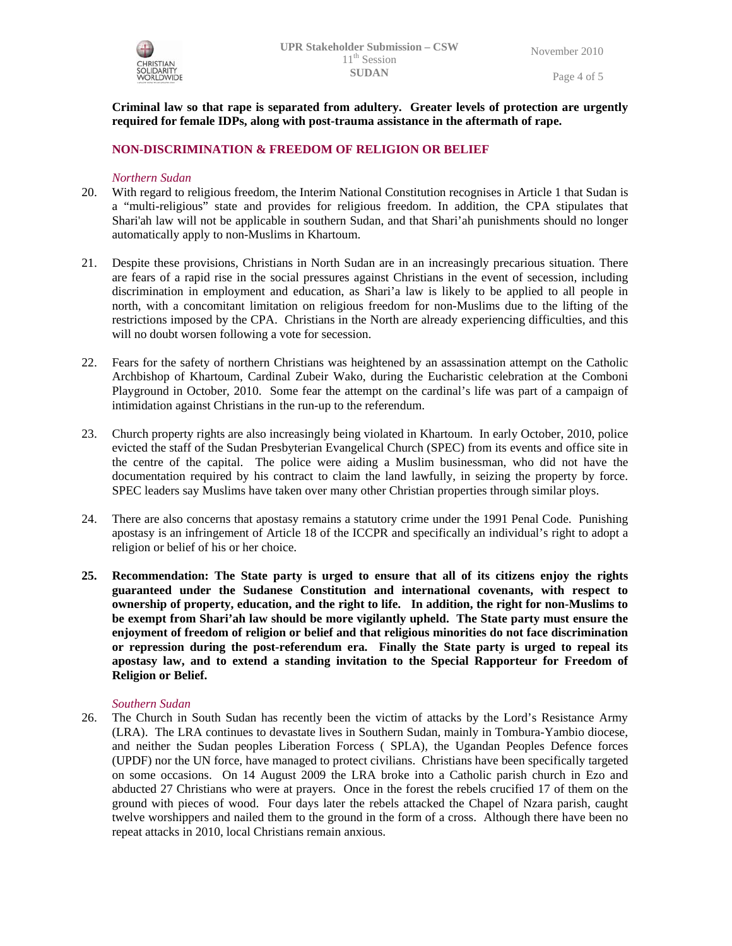

**Criminal law so that rape is separated from adultery. Greater levels of protection are urgently required for female IDPs, along with post-trauma assistance in the aftermath of rape.** 

# **NON-DISCRIMINATION & FREEDOM OF RELIGION OR BELIEF**

## *Northern Sudan*

- 20. With regard to religious freedom, the Interim National Constitution recognises in Article 1 that Sudan is a "multi-religious" state and provides for religious freedom. In addition, the CPA stipulates that Shari'ah law will not be applicable in southern Sudan, and that Shari'ah punishments should no longer automatically apply to non-Muslims in Khartoum.
- 21. Despite these provisions, Christians in North Sudan are in an increasingly precarious situation. There are fears of a rapid rise in the social pressures against Christians in the event of secession, including discrimination in employment and education, as Shari'a law is likely to be applied to all people in north, with a concomitant limitation on religious freedom for non-Muslims due to the lifting of the restrictions imposed by the CPA. Christians in the North are already experiencing difficulties, and this will no doubt worsen following a vote for secession.
- 22. Fears for the safety of northern Christians was heightened by an assassination attempt on the Catholic Archbishop of Khartoum, Cardinal Zubeir Wako, during the Eucharistic celebration at the Comboni Playground in October, 2010. Some fear the attempt on the cardinal's life was part of a campaign of intimidation against Christians in the run-up to the referendum.
- 23. Church property rights are also increasingly being violated in Khartoum. In early October, 2010, police evicted the staff of the Sudan Presbyterian Evangelical Church (SPEC) from its events and office site in the centre of the capital. The police were aiding a Muslim businessman, who did not have the documentation required by his contract to claim the land lawfully, in seizing the property by force. SPEC leaders say Muslims have taken over many other Christian properties through similar ploys.
- 24. There are also concerns that apostasy remains a statutory crime under the 1991 Penal Code. Punishing apostasy is an infringement of Article 18 of the ICCPR and specifically an individual's right to adopt a religion or belief of his or her choice.
- **25. Recommendation: The State party is urged to ensure that all of its citizens enjoy the rights guaranteed under the Sudanese Constitution and international covenants, with respect to ownership of property, education, and the right to life. In addition, the right for non-Muslims to be exempt from Shari'ah law should be more vigilantly upheld. The State party must ensure the enjoyment of freedom of religion or belief and that religious minorities do not face discrimination or repression during the post-referendum era. Finally the State party is urged to repeal its apostasy law, and to extend a standing invitation to the Special Rapporteur for Freedom of Religion or Belief.**

### *Southern Sudan*

26. The Church in South Sudan has recently been the victim of attacks by the Lord's Resistance Army (LRA). The LRA continues to devastate lives in Southern Sudan, mainly in Tombura-Yambio diocese, and neither the Sudan peoples Liberation Forcess ( SPLA), the Ugandan Peoples Defence forces (UPDF) nor the UN force, have managed to protect civilians. Christians have been specifically targeted on some occasions. On 14 August 2009 the LRA broke into a Catholic parish church in Ezo and abducted 27 Christians who were at prayers. Once in the forest the rebels crucified 17 of them on the ground with pieces of wood. Four days later the rebels attacked the Chapel of Nzara parish, caught twelve worshippers and nailed them to the ground in the form of a cross. Although there have been no repeat attacks in 2010, local Christians remain anxious.